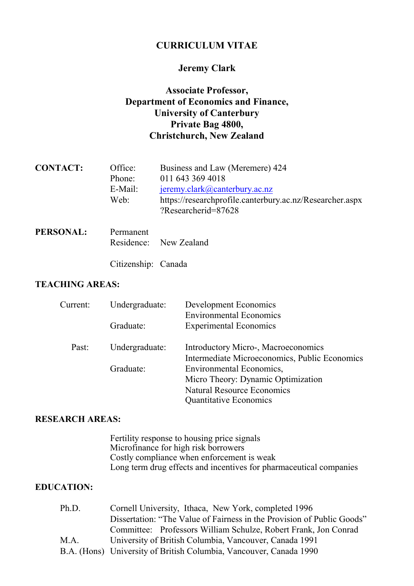# CURRICULUM VITAE

# Jeremy Clark

# Associate Professor, Department of Economics and Finance, University of Canterbury Private Bag 4800, Christchurch, New Zealand

| <b>CONTACT:</b>  | Office:   | Business and Law (Meremere) 424                          |  |
|------------------|-----------|----------------------------------------------------------|--|
|                  | Phone:    | 011 643 369 4018                                         |  |
|                  | E-Mail:   | $j$ eremy.clark@canterbury.ac.nz                         |  |
|                  | Web:      | https://researchprofile.canterbury.ac.nz/Researcher.aspx |  |
|                  |           | ?Researcherid=87628                                      |  |
| <b>PERSONAL:</b> | Permanent |                                                          |  |
|                  |           | Residence: New Zealand                                   |  |

Citizenship: Canada

## TEACHING AREAS:

| Current: | Undergraduate: | Development Economics                         |  |
|----------|----------------|-----------------------------------------------|--|
|          |                | <b>Environmental Economics</b>                |  |
|          | Graduate:      | <b>Experimental Economics</b>                 |  |
| Past:    | Undergraduate: | Introductory Micro-, Macroeconomics           |  |
|          |                | Intermediate Microeconomics, Public Economics |  |
|          | Graduate:      | Environmental Economics,                      |  |
|          |                | Micro Theory: Dynamic Optimization            |  |
|          |                | <b>Natural Resource Economics</b>             |  |
|          |                | <b>Quantitative Economics</b>                 |  |

### RESEARCH AREAS:

 Fertility response to housing price signals Microfinance for high risk borrowers Costly compliance when enforcement is weak Long term drug effects and incentives for pharmaceutical companies

### EDUCATION:

| Cornell University, Ithaca, New York, completed 1996                   |  |  |  |  |
|------------------------------------------------------------------------|--|--|--|--|
| Dissertation: "The Value of Fairness in the Provision of Public Goods" |  |  |  |  |
| Committee: Professors William Schulze, Robert Frank, Jon Conrad        |  |  |  |  |
| University of British Columbia, Vancouver, Canada 1991                 |  |  |  |  |
| B.A. (Hons) University of British Columbia, Vancouver, Canada 1990     |  |  |  |  |
|                                                                        |  |  |  |  |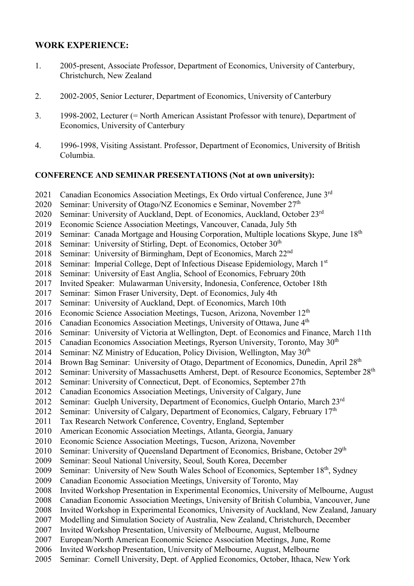## WORK EXPERIENCE:

- 1. 2005-present, Associate Professor, Department of Economics, University of Canterbury, Christchurch, New Zealand
- 2. 2002-2005, Senior Lecturer, Department of Economics, University of Canterbury
- 3. 1998-2002, Lecturer (= North American Assistant Professor with tenure), Department of Economics, University of Canterbury
- 4. 1996-1998, Visiting Assistant. Professor, Department of Economics, University of British Columbia.

#### CONFERENCE AND SEMINAR PRESENTATIONS (Not at own university):

- 2021 Canadian Economics Association Meetings, Ex Ordo virtual Conference, June 3rd
- 2020 Seminar: University of Otago/NZ Economics e Seminar, November 27<sup>th</sup>
- 2020 Seminar: University of Auckland, Dept. of Economics, Auckland, October 23rd
- 2019 Economic Science Association Meetings, Vancouver, Canada, July 5th
- 2019 Seminar: Canada Mortgage and Housing Corporation, Multiple locations Skype, June 18<sup>th</sup>
- 2018 Seminar: University of Stirling, Dept. of Economics, October 30<sup>th</sup>
- 2018 Seminar: University of Birmingham, Dept of Economics, March 22<sup>nd</sup>
- 2018 Seminar: Imperial College, Dept of Infectious Disease Epidemiology, March 1<sup>st</sup>
- 2018 Seminar: University of East Anglia, School of Economics, February 20th
- 2017 Invited Speaker: Mulawarman University, Indonesia, Conference, October 18th
- 2017 Seminar: Simon Fraser University, Dept. of Economics, July 4th
- 2017 Seminar: University of Auckland, Dept. of Economics, March 10th
- 2016 Economic Science Association Meetings, Tucson, Arizona, November 12<sup>th</sup>
- 2016 Canadian Economics Association Meetings, University of Ottawa, June 4<sup>th</sup>
- 2016 Seminar: University of Victoria at Wellington, Dept. of Economics and Finance, March 11th
- 2015 Canadian Economics Association Meetings, Ryerson University, Toronto, May 30<sup>th</sup>
- 2014 Seminar: NZ Ministry of Education, Policy Division, Wellington, May 30<sup>th</sup>
- 2014 Brown Bag Seminar: University of Otago, Department of Economics, Dunedin, April 28<sup>th</sup>
- 2012 Seminar: University of Massachusetts Amherst, Dept. of Resource Economics, September 28<sup>th</sup>
- 2012 Seminar: University of Connecticut, Dept. of Economics, September 27th
- 2012 Canadian Economics Association Meetings, University of Calgary, June
- 2012 Seminar: Guelph University, Department of Economics, Guelph Ontario, March 23rd
- 2012 Seminar: University of Calgary, Department of Economics, Calgary, February 17th
- 2011 Tax Research Network Conference, Coventry, England, September
- 2010 American Economic Association Meetings, Atlanta, Georgia, January
- 2010 Economic Science Association Meetings, Tucson, Arizona, November
- 2010 Seminar: University of Queensland Department of Economics, Brisbane, October 29<sup>th</sup>
- 2009 Seminar: Seoul National University, Seoul, South Korea, December
- 2009 Seminar: University of New South Wales School of Economics, September 18<sup>th</sup>, Sydney
- 2009 Canadian Economic Association Meetings, University of Toronto, May
- 2008 Invited Workshop Presentation in Experimental Economics, University of Melbourne, August
- 2008 Canadian Economic Association Meetings, University of British Columbia, Vancouver, June
- 2008 Invited Workshop in Experimental Economics, University of Auckland, New Zealand, January
- 2007 Modelling and Simulation Society of Australia, New Zealand, Christchurch, December
- 2007 Invited Workshop Presentation, University of Melbourne, August, Melbourne
- 2007 European/North American Economic Science Association Meetings, June, Rome
- 2006 Invited Workshop Presentation, University of Melbourne, August, Melbourne
- 2005 Seminar: Cornell University, Dept. of Applied Economics, October, Ithaca, New York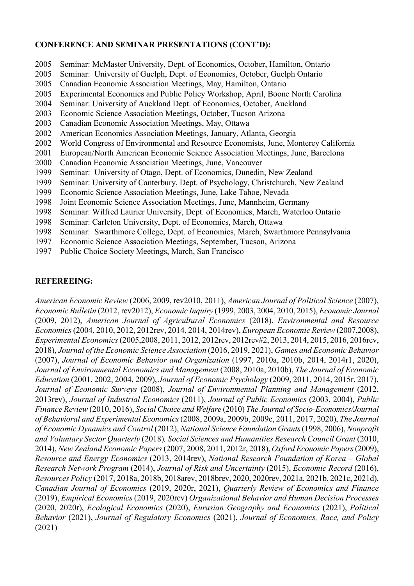#### CONFERENCE AND SEMINAR PRESENTATIONS (CONT'D):

- 2005 Seminar: McMaster University, Dept. of Economics, October, Hamilton, Ontario
- 2005 Seminar: University of Guelph, Dept. of Economics, October, Guelph Ontario
- 2005 Canadian Economic Association Meetings, May, Hamilton, Ontario
- 2005 Experimental Economics and Public Policy Workshop, April, Boone North Carolina
- 2004 Seminar: University of Auckland Dept. of Economics, October, Auckland
- 2003 Economic Science Association Meetings, October, Tucson Arizona
- 2003 Canadian Economic Association Meetings, May, Ottawa
- 2002 American Economics Association Meetings, January, Atlanta, Georgia
- 2002 World Congress of Environmental and Resource Economists, June, Monterey California
- 2001 European/North American Economic Science Association Meetings, June, Barcelona
- 2000 Canadian Economic Association Meetings, June, Vancouver
- 1999 Seminar: University of Otago, Dept. of Economics, Dunedin, New Zealand
- 1999 Seminar: University of Canterbury, Dept. of Psychology, Christchurch, New Zealand
- 1999 Economic Science Association Meetings, June, Lake Tahoe, Nevada
- 1998 Joint Economic Science Association Meetings, June, Mannheim, Germany
- 1998 Seminar: Wilfred Laurier University, Dept. of Economics, March, Waterloo Ontario
- 1998 Seminar: Carleton University, Dept. of Economics, March, Ottawa
- 1998 Seminar: Swarthmore College, Dept. of Economics, March, Swarthmore Pennsylvania
- 1997 Economic Science Association Meetings, September, Tucson, Arizona
- 1997 Public Choice Society Meetings, March, San Francisco

### REFEREEING:

American Economic Review (2006, 2009, rev2010, 2011), American Journal of Political Science (2007), Economic Bulletin (2012, rev2012), Economic Inquiry (1999, 2003, 2004, 2010, 2015), Economic Journal (2009, 2012), American Journal of Agricultural Economics (2018), Environmental and Resource Economics (2004, 2010, 2012, 2012rev, 2014, 2014, 2014rev), European Economic Review (2007,2008), Experimental Economics (2005,2008, 2011, 2012, 2012rev, 2012rev#2, 2013, 2014, 2015, 2016, 2016rev, 2018), Journal of the Economic Science Association (2016, 2019, 2021), Games and Economic Behavior (2007), Journal of Economic Behavior and Organization (1997, 2010a, 2010b, 2014, 2014r1, 2020), Journal of Environmental Economics and Management (2008, 2010a, 2010b), The Journal of Economic Education (2001, 2002, 2004, 2009), Journal of Economic Psychology (2009, 2011, 2014, 2015r, 2017), Journal of Economic Surveys (2008), Journal of Environmental Planning and Management (2012, 2013rev), Journal of Industrial Economics (2011), Journal of Public Economics (2003, 2004), Public Finance Review (2010, 2016), Social Choice and Welfare (2010) The Journal of Socio-Economics/Journal of Behavioral and Experimental Economics (2008, 2009a, 2009b, 2009c, 2011, 2017, 2020), The Journal of Economic Dynamics and Control (2012), National Science Foundation Grants (1998, 2006), Nonprofit and Voluntary Sector Quarterly (2018), Social Sciences and Humanities Research Council Grant (2010, 2014), New Zealand Economic Papers (2007, 2008, 2011, 2012r, 2018), Oxford Economic Papers (2009), Resource and Energy Economics (2013, 2014rev), National Research Foundation of Korea – Global Research Network Program (2014), Journal of Risk and Uncertainty (2015), Economic Record (2016), Resources Policy (2017, 2018a, 2018b, 2018arev, 2018brev, 2020, 2020rev, 2021a, 2021b, 2021c, 2021d), Canadian Journal of Economics (2019, 2020r, 2021), Quarterly Review of Economics and Finance (2019), Empirical Economics (2019, 2020rev) Organizational Behavior and Human Decision Processes (2020, 2020r), Ecological Economics (2020), Eurasian Geography and Economics (2021), Political Behavior (2021), Journal of Regulatory Economics (2021), Journal of Economics, Race, and Policy (2021)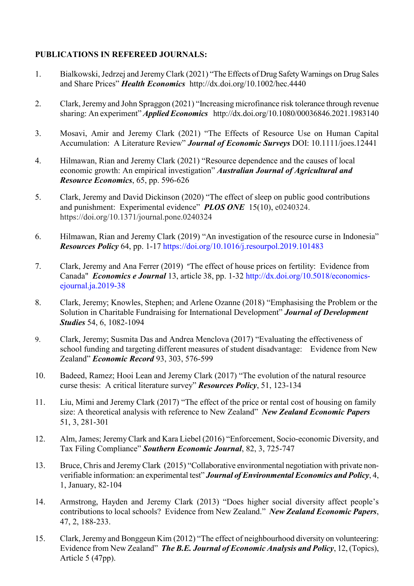### PUBLICATIONS IN REFEREED JOURNALS:

- 1. Bialkowski, Jedrzej and Jeremy Clark (2021) "The Effects of Drug Safety Warnings on Drug Sales and Share Prices" Health Economics http://dx.doi.org/10.1002/hec.4440
- 2. Clark, Jeremy and John Spraggon (2021) "Increasing microfinance risk tolerance through revenue sharing: An experiment" *Applied Economics* http://dx.doi.org/10.1080/00036846.2021.1983140
- 3. Mosavi, Amir and Jeremy Clark (2021) "The Effects of Resource Use on Human Capital Accumulation: A Literature Review" Journal of Economic Surveys DOI: 10.1111/joes.12441
- 4. Hilmawan, Rian and Jeremy Clark (2021) "Resource dependence and the causes of local economic growth: An empirical investigation" Australian Journal of Agricultural and Resource Economics, 65, pp. 596-626
- 5. Clark, Jeremy and David Dickinson (2020) "The effect of sleep on public good contributions and punishment: Experimental evidence" PLOS ONE 15(10), e0240324. https://doi.org/10.1371/journal.pone.0240324
- 6. Hilmawan, Rian and Jeremy Clark (2019) "An investigation of the resource curse in Indonesia" Resources Policy 64, pp. 1-17 https://doi.org/10.1016/j.resourpol.2019.101483
- 7. Clark, Jeremy and Ana Ferrer (2019) "The effect of house prices on fertility: Evidence from Canada" Economics e Journal 13, article 38, pp. 1-32 http://dx.doi.org/10.5018/economicsejournal.ja.2019-38
- 8. Clark, Jeremy; Knowles, Stephen; and Arlene Ozanne (2018) "Emphasising the Problem or the Solution in Charitable Fundraising for International Development" Journal of Development Studies 54, 6, 1082-1094
- 9. Clark, Jeremy; Susmita Das and Andrea Menclova (2017) "Evaluating the effectiveness of school funding and targeting different measures of student disadvantage: Evidence from New Zealand" Economic Record 93, 303, 576-599
- 10. Badeed, Ramez; Hooi Lean and Jeremy Clark (2017) "The evolution of the natural resource curse thesis: A critical literature survey" Resources Policy, 51, 123-134
- 11. Liu, Mimi and Jeremy Clark (2017) "The effect of the price or rental cost of housing on family size: A theoretical analysis with reference to New Zealand" New Zealand Economic Papers 51, 3, 281-301
- 12. Alm, James; Jeremy Clark and Kara Liebel (2016) "Enforcement, Socio-economic Diversity, and Tax Filing Compliance" Southern Economic Journal, 82, 3, 725-747
- 13. Bruce, Chris and Jeremy Clark (2015) "Collaborative environmental negotiation with private nonverifiable information: an experimental test" Journal of Environmental Economics and Policy, 4, 1, January, 82-104
- 14. Armstrong, Hayden and Jeremy Clark (2013) "Does higher social diversity affect people's contributions to local schools? Evidence from New Zealand." New Zealand Economic Papers, 47, 2, 188-233.
- 15. Clark, Jeremy and Bonggeun Kim (2012) "The effect of neighbourhood diversity on volunteering: Evidence from New Zealand" The B.E. Journal of Economic Analysis and Policy, 12, (Topics), Article 5 (47pp).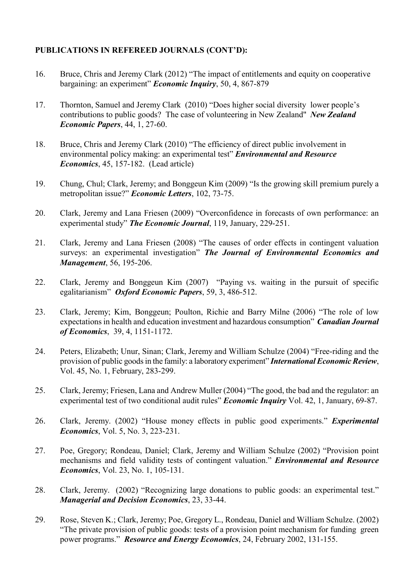## PUBLICATIONS IN REFEREED JOURNALS (CONT'D):

- 16. Bruce, Chris and Jeremy Clark (2012) "The impact of entitlements and equity on cooperative bargaining: an experiment" Economic Inquiry, 50, 4, 867-879
- 17. Thornton, Samuel and Jeremy Clark (2010) "Does higher social diversity lower people's contributions to public goods? The case of volunteering in New Zealand" New Zealand Economic Papers, 44, 1, 27-60.
- 18. Bruce, Chris and Jeremy Clark (2010) "The efficiency of direct public involvement in environmental policy making: an experimental test" *Environmental and Resource* Economics, 45, 157-182. (Lead article)
- 19. Chung, Chul; Clark, Jeremy; and Bonggeun Kim (2009) "Is the growing skill premium purely a metropolitan issue?" Economic Letters, 102, 73-75.
- 20. Clark, Jeremy and Lana Friesen (2009) "Overconfidence in forecasts of own performance: an experimental study" The Economic Journal, 119, January, 229-251.
- 21. Clark, Jeremy and Lana Friesen (2008) "The causes of order effects in contingent valuation surveys: an experimental investigation" The Journal of Environmental Economics and Management, 56, 195-206.
- 22. Clark, Jeremy and Bonggeun Kim (2007) "Paying vs. waiting in the pursuit of specific egalitarianism" Oxford Economic Papers, 59, 3, 486-512.
- 23. Clark, Jeremy; Kim, Bonggeun; Poulton, Richie and Barry Milne (2006) "The role of low expectations in health and education investment and hazardous consumption" Canadian Journal of Economics, 39, 4, 1151-1172.
- 24. Peters, Elizabeth; Unur, Sinan; Clark, Jeremy and William Schulze (2004) "Free-riding and the provision of public goods in the family: a laboratory experiment" International Economic Review, Vol. 45, No. 1, February, 283-299.
- 25. Clark, Jeremy; Friesen, Lana and Andrew Muller (2004) "The good, the bad and the regulator: an experimental test of two conditional audit rules" Economic Inquiry Vol. 42, 1, January, 69-87.
- 26. Clark, Jeremy. (2002) "House money effects in public good experiments." *Experimental* Economics, Vol. 5, No. 3, 223-231.
- 27. Poe, Gregory; Rondeau, Daniel; Clark, Jeremy and William Schulze (2002) "Provision point mechanisms and field validity tests of contingent valuation." *Environmental and Resource* Economics, Vol. 23, No. 1, 105-131.
- 28. Clark, Jeremy. (2002) "Recognizing large donations to public goods: an experimental test." Managerial and Decision Economics, 23, 33-44.
- 29. Rose, Steven K.; Clark, Jeremy; Poe, Gregory L., Rondeau, Daniel and William Schulze. (2002) "The private provision of public goods: tests of a provision point mechanism for funding green power programs." Resource and Energy Economics, 24, February 2002, 131-155.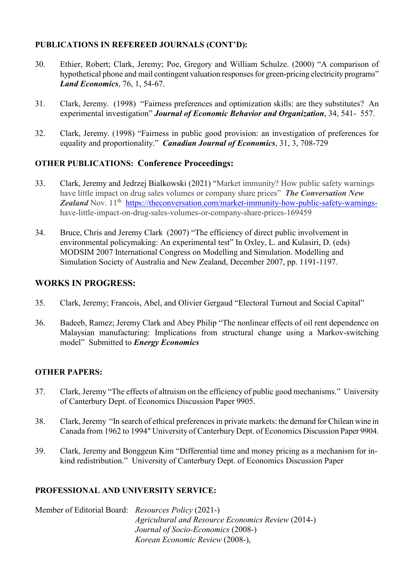## PUBLICATIONS IN REFEREED JOURNALS (CONT'D):

- 30. Ethier, Robert; Clark, Jeremy; Poe, Gregory and William Schulze. (2000) "A comparison of hypothetical phone and mail contingent valuation responses for green-pricing electricity programs" Land Economics, 76, 1, 54-67.
- 31. Clark, Jeremy. (1998) "Fairness preferences and optimization skills: are they substitutes? An experimental investigation" Journal of Economic Behavior and Organization, 34, 541- 557.
- 32. Clark, Jeremy. (1998) "Fairness in public good provision: an investigation of preferences for equality and proportionality." Canadian Journal of Economics, 31, 3, 708-729

# OTHER PUBLICATIONS: Conference Proceedings:

- 33. Clark, Jeremy and Jedrzej Bialkowski (2021) "Market immunity? How public safety warnings have little impact on drug sales volumes or company share prices" **The Conversation New** Zealand Nov. 11<sup>th</sup> https://theconversation.com/market-immunity-how-public-safety-warningshave-little-impact-on-drug-sales-volumes-or-company-share-prices-169459
- 34. Bruce, Chris and Jeremy Clark (2007) "The efficiency of direct public involvement in environmental policymaking: An experimental test" In Oxley, L. and Kulasiri, D. (eds) MODSIM 2007 International Congress on Modelling and Simulation. Modelling and Simulation Society of Australia and New Zealand, December 2007, pp. 1191-1197.

# WORKS IN PROGRESS:

- 35. Clark, Jeremy; Francois, Abel, and Olivier Gergaud "Electoral Turnout and Social Capital"
- 36. Badeeb, Ramez; Jeremy Clark and Abey Philip "The nonlinear effects of oil rent dependence on Malaysian manufacturing: Implications from structural change using a Markov-switching model" Submitted to Energy Economics

# OTHER PAPERS:

- 37. Clark, Jeremy "The effects of altruism on the efficiency of public good mechanisms." University of Canterbury Dept. of Economics Discussion Paper 9905.
- 38. Clark, Jeremy "In search of ethical preferences in private markets: the demand for Chilean wine in Canada from 1962 to 1994" University of Canterbury Dept. of Economics Discussion Paper 9904.
- 39. Clark, Jeremy and Bonggeun Kim "Differential time and money pricing as a mechanism for inkind redistribution." University of Canterbury Dept. of Economics Discussion Paper

# PROFESSIONAL AND UNIVERSITY SERVICE:

Member of Editorial Board: Resources Policy (2021-) Agricultural and Resource Economics Review (2014-) Journal of Socio-Economics (2008-) Korean Economic Review (2008-),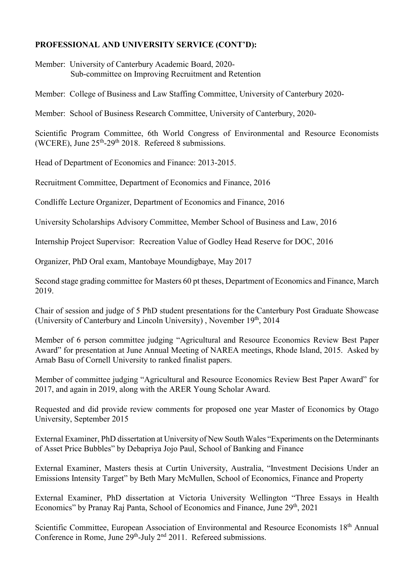### PROFESSIONAL AND UNIVERSITY SERVICE (CONT'D):

Member: University of Canterbury Academic Board, 2020- Sub-committee on Improving Recruitment and Retention

Member: College of Business and Law Staffing Committee, University of Canterbury 2020-

Member: School of Business Research Committee, University of Canterbury, 2020-

Scientific Program Committee, 6th World Congress of Environmental and Resource Economists (WCERE), June  $25<sup>th</sup> - 29<sup>th</sup> 2018$ . Refereed 8 submissions.

Head of Department of Economics and Finance: 2013-2015.

Recruitment Committee, Department of Economics and Finance, 2016

Condliffe Lecture Organizer, Department of Economics and Finance, 2016

University Scholarships Advisory Committee, Member School of Business and Law, 2016

Internship Project Supervisor: Recreation Value of Godley Head Reserve for DOC, 2016

Organizer, PhD Oral exam, Mantobaye Moundigbaye, May 2017

Second stage grading committee for Masters 60 pt theses, Department of Economics and Finance, March 2019.

Chair of session and judge of 5 PhD student presentations for the Canterbury Post Graduate Showcase (University of Canterbury and Lincoln University), November  $19<sup>th</sup>$ , 2014

Member of 6 person committee judging "Agricultural and Resource Economics Review Best Paper Award" for presentation at June Annual Meeting of NAREA meetings, Rhode Island, 2015. Asked by Arnab Basu of Cornell University to ranked finalist papers.

Member of committee judging "Agricultural and Resource Economics Review Best Paper Award" for 2017, and again in 2019, along with the ARER Young Scholar Award.

Requested and did provide review comments for proposed one year Master of Economics by Otago University, September 2015

External Examiner, PhD dissertation at University of New South Wales "Experiments on the Determinants of Asset Price Bubbles" by Debapriya Jojo Paul, School of Banking and Finance

External Examiner, Masters thesis at Curtin University, Australia, "Investment Decisions Under an Emissions Intensity Target" by Beth Mary McMullen, School of Economics, Finance and Property

External Examiner, PhD dissertation at Victoria University Wellington "Three Essays in Health Economics" by Pranay Raj Panta, School of Economics and Finance, June 29<sup>th</sup>, 2021

Scientific Committee, European Association of Environmental and Resource Economists 18<sup>th</sup> Annual Conference in Rome, June 29<sup>th</sup>-July 2<sup>nd</sup> 2011. Refereed submissions.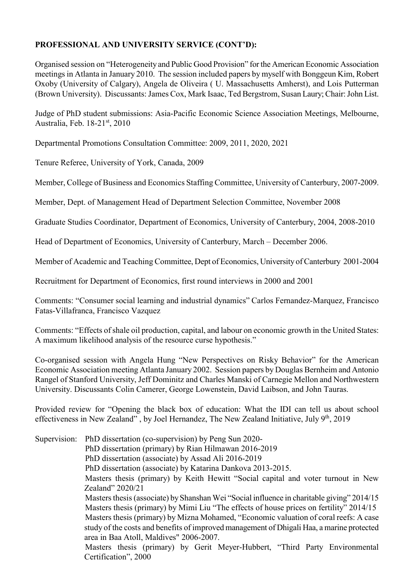## PROFESSIONAL AND UNIVERSITY SERVICE (CONT'D):

Organised session on "Heterogeneity and Public Good Provision" for the American Economic Association meetings in Atlanta in January 2010. The session included papers by myself with Bonggeun Kim, Robert Oxoby (University of Calgary), Angela de Oliveira ( U. Massachusetts Amherst), and Lois Putterman (Brown University). Discussants: James Cox, Mark Isaac, Ted Bergstrom, Susan Laury; Chair: John List.

Judge of PhD student submissions: Asia-Pacific Economic Science Association Meetings, Melbourne, Australia, Feb. 18-21st, 2010

Departmental Promotions Consultation Committee: 2009, 2011, 2020, 2021

Tenure Referee, University of York, Canada, 2009

Member, College of Business and Economics Staffing Committee, University of Canterbury, 2007-2009.

Member, Dept. of Management Head of Department Selection Committee, November 2008

Graduate Studies Coordinator, Department of Economics, University of Canterbury, 2004, 2008-2010

Head of Department of Economics, University of Canterbury, March – December 2006.

Member of Academic and Teaching Committee, Dept of Economics, University of Canterbury 2001-2004

Recruitment for Department of Economics, first round interviews in 2000 and 2001

Comments: "Consumer social learning and industrial dynamics" Carlos Fernandez-Marquez, Francisco Fatas-Villafranca, Francisco Vazquez

Comments: "Effects of shale oil production, capital, and labour on economic growth in the United States: A maximum likelihood analysis of the resource curse hypothesis."

Co-organised session with Angela Hung "New Perspectives on Risky Behavior" for the American Economic Association meeting Atlanta January 2002. Session papers by Douglas Bernheim and Antonio Rangel of Stanford University, Jeff Dominitz and Charles Manski of Carnegie Mellon and Northwestern University. Discussants Colin Camerer, George Lowenstein, David Laibson, and John Tauras.

Provided review for "Opening the black box of education: What the IDI can tell us about school effectiveness in New Zealand", by Joel Hernandez, The New Zealand Initiative, July  $9<sup>th</sup>$ , 2019

Supervision: PhD dissertation (co-supervision) by Peng Sun 2020- PhD dissertation (primary) by Rian Hilmawan 2016-2019 PhD dissertation (associate) by Assad Ali 2016-2019 PhD dissertation (associate) by Katarina Dankova 2013-2015. Masters thesis (primary) by Keith Hewitt "Social capital and voter turnout in New Zealand" 2020/21 Masters thesis (associate) by Shanshan Wei "Social influence in charitable giving" 2014/15 Masters thesis (primary) by Mimi Liu "The effects of house prices on fertility" 2014/15 Masters thesis (primary) by Mizna Mohamed, "Economic valuation of coral reefs: A case study of the costs and benefits of improved management of Dhigali Haa, a marine protected area in Baa Atoll, Maldives" 2006-2007. Masters thesis (primary) by Gerit Meyer-Hubbert, "Third Party Environmental Certification", 2000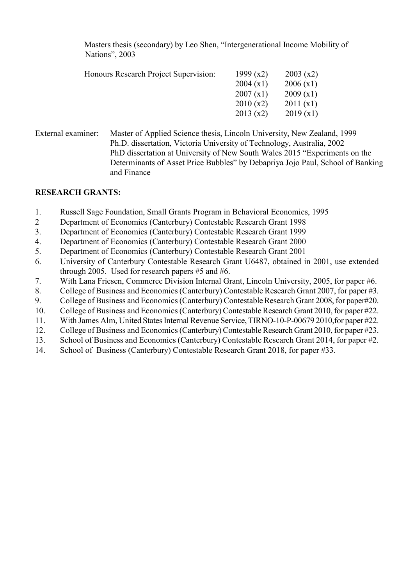Masters thesis (secondary) by Leo Shen, "Intergenerational Income Mobility of Nations", 2003

| Honours Research Project Supervision: | 1999 $(x2)$<br>2004(x1)<br>2007(x1)<br>2010(x2) | 2003(x2)<br>2006(x1)<br>2009(x1)<br>2011(x1) |
|---------------------------------------|-------------------------------------------------|----------------------------------------------|
|                                       | 2013(x2)                                        | 2019(x1)                                     |
|                                       |                                                 |                                              |

External examiner: Master of Applied Science thesis, Lincoln University, New Zealand, 1999 Ph.D. dissertation, Victoria University of Technology, Australia, 2002 PhD dissertation at University of New South Wales 2015 "Experiments on the Determinants of Asset Price Bubbles" by Debapriya Jojo Paul, School of Banking and Finance

### RESEARCH GRANTS:

- 1. Russell Sage Foundation, Small Grants Program in Behavioral Economics, 1995
- 2 Department of Economics (Canterbury) Contestable Research Grant 1998
- 3. Department of Economics (Canterbury) Contestable Research Grant 1999
- 4. Department of Economics (Canterbury) Contestable Research Grant 2000
- 5. Department of Economics (Canterbury) Contestable Research Grant 2001
- 6. University of Canterbury Contestable Research Grant U6487, obtained in 2001, use extended through 2005. Used for research papers  $#5$  and  $#6$ .
- 7. With Lana Friesen, Commerce Division Internal Grant, Lincoln University, 2005, for paper #6.
- 8. College of Business and Economics (Canterbury) Contestable Research Grant 2007, for paper #3.
- 9. College of Business and Economics (Canterbury) Contestable Research Grant 2008, for paper#20.
- 10. College of Business and Economics (Canterbury) Contestable Research Grant 2010, for paper #22.
- 11. With James Alm, United States Internal Revenue Service, TIRNO-10-P-00679 2010,for paper #22.
- 12. College of Business and Economics (Canterbury) Contestable Research Grant 2010, for paper #23.
- 13. School of Business and Economics (Canterbury) Contestable Research Grant 2014, for paper #2.
- 14. School of Business (Canterbury) Contestable Research Grant 2018, for paper #33.